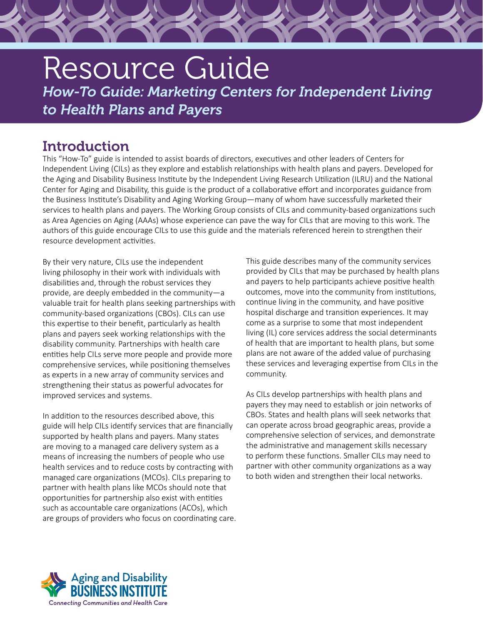# Resource Guide *How-To Guide: Marketing Centers for Independent Living to Health Plans and Payers*

# **Introduction**

This "How-To" guide is intended to assist boards of directors, executives and other leaders of Centers for Independent Living (CILs) as they explore and establish relationships with health plans and payers. Developed for the Aging and Disability Business Institute by the Independent Living Research Utilization (ILRU) and the National Center for Aging and Disability, this guide is the product of a collaborative effort and incorporates guidance from the Business Institute's Disability and Aging Working Group—many of whom have successfully marketed their services to health plans and payers. The Working Group consists of CILs and community-based organizations such as Area Agencies on Aging (AAAs) whose experience can pave the way for CILs that are moving to this work. The authors of this guide encourage CILs to use this guide and the materials referenced herein to strengthen their resource development activities.

By their very nature, CILs use the independent living philosophy in their work with individuals with disabilities and, through the robust services they provide, are deeply embedded in the community—a valuable trait for health plans seeking partnerships with community-based organizations (CBOs). CILs can use this expertise to their benefit, particularly as health plans and payers seek working relationships with the disability community. Partnerships with health care entities help CILs serve more people and provide more comprehensive services, while positioning themselves as experts in a new array of community services and strengthening their status as powerful advocates for improved services and systems.

In addition to the resources described above, this guide will help CILs identify services that are financially supported by health plans and payers. Many states are moving to a managed care delivery system as a means of increasing the numbers of people who use health services and to reduce costs by contracting with managed care organizations (MCOs). CILs preparing to partner with health plans like MCOs should note that opportunities for partnership also exist with entities such as accountable care organizations (ACOs), which are groups of providers who focus on coordinating care.

This guide describes many of the community services provided by CILs that may be purchased by health plans and payers to help participants achieve positive health outcomes, move into the community from institutions, continue living in the community, and have positive hospital discharge and transition experiences. It may come as a surprise to some that most independent living (IL) core services address the social determinants of health that are important to health plans, but some plans are not aware of the added value of purchasing these services and leveraging expertise from CILs in the community.

As CILs develop partnerships with health plans and payers they may need to establish or join networks of CBOs. States and health plans will seek networks that can operate across broad geographic areas, provide a comprehensive selection of services, and demonstrate the administrative and management skills necessary to perform these functions. Smaller CILs may need to partner with other community organizations as a way to both widen and strengthen their local networks.

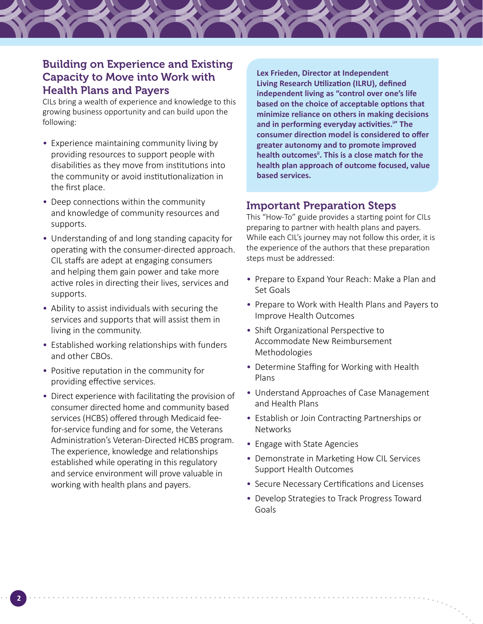# Building on Experience and Existing Capacity to Move into Work with Health Plans and Payers

CILs bring a wealth of experience and knowledge to this growing business opportunity and can build upon the following:

- Experience maintaining community living by providing resources to support people with disabilities as they move from institutions into the community or avoid institutionalization in the first place.
- Deep connections within the community and knowledge of community resources and supports.
- Understanding of and long standing capacity for operating with the consumer-directed approach. CIL staffs are adept at engaging consumers and helping them gain power and take more active roles in directing their lives, services and supports.
- Ability to assist individuals with securing the services and supports that will assist them in living in the community.
- Established working relationships with funders and other CBOs.
- Positive reputation in the community for providing effective services.

**2**

• Direct experience with facilitating the provision of consumer directed home and community based services (HCBS) offered through Medicaid feefor-service funding and for some, the Veterans Administration's Veteran-Directed HCBS program. The experience, knowledge and relationships established while operating in this regulatory and service environment will prove valuable in working with health plans and payers.

**Lex Frieden, Director at Independent Living Research Utilization (ILRU), defined independent living as "control over one's life based on the choice of acceptable options that minimize reliance on others in making decisions and in performing everyday activities.<sup>i</sup> " The consumer direction model is considered to offer greater autonomy and to promote improved health outcomesii. This is a close match for the health plan approach of outcome focused, value based services.**

## Important Preparation Steps

This "How-To" guide provides a starting point for CILs preparing to partner with health plans and payers. While each CIL's journey may not follow this order, it is the experience of the authors that these preparation steps must be addressed:

- Prepare to Expand Your Reach: Make a Plan and Set Goals
- Prepare to Work with Health Plans and Payers to Improve Health Outcomes
- Shift Organizational Perspective to Accommodate New Reimbursement Methodologies
- Determine Staffing for Working with Health Plans
- Understand Approaches of Case Management and Health Plans
- Establish or Join Contracting Partnerships or Networks
- Engage with State Agencies
- Demonstrate in Marketing How CIL Services Support Health Outcomes
- Secure Necessary Certifications and Licenses
- Develop Strategies to Track Progress Toward Goals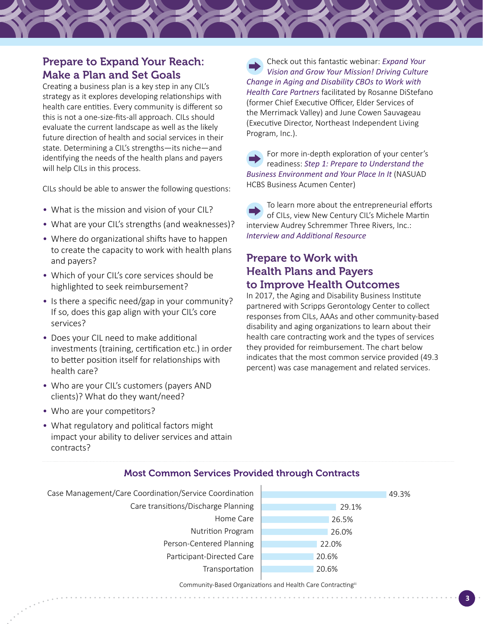# Prepare to Expand Your Reach: Make a Plan and Set Goals

Creating a business plan is a key step in any CIL's strategy as it explores developing relationships with health care entities. Every community is different so this is not a one-size-fits-all approach. CILs should evaluate the current landscape as well as the likely future direction of health and social services in their state. Determining a CIL's strengths—its niche—and identifying the needs of the health plans and payers will help CILs in this process.

CILs should be able to answer the following questions:

- What is the mission and vision of your CIL?
- What are your CIL's strengths (and weaknesses)?
- Where do organizational shifts have to happen to create the capacity to work with health plans and payers?
- Which of your CIL's core services should be highlighted to seek reimbursement?
- Is there a specific need/gap in your community? If so, does this gap align with your CIL's core services?
- Does your CIL need to make additional investments (training, certification etc.) in order to better position itself for relationships with health care?
- Who are your CIL's customers (payers AND clients)? What do they want/need?

• Who are your competitors?

• What regulatory and political factors might impact your ability to deliver services and attain contracts?

Check out this fantastic webinar: *[Expand Your](https://vimeo.com/201326182)  [Vision and Grow Your Mission! Driving Culture](https://vimeo.com/201326182)  [Change in Aging and Disability CBOs to Work with](https://vimeo.com/201326182)  [Health Care Partners](https://vimeo.com/201326182)* facilitated by Rosanne DiStefano (former Chief Executive Officer, Elder Services of the Merrimack Valley) and June Cowen Sauvageau (Executive Director, Northeast Independent Living Program, Inc.).

For more in-depth exploration of your center's readiness: *[Step 1: Prepare to Understand the](http://www.nasuad.org/sites/nasuad/files/BACStep1Prepare.pdf)  [Business Environment and Your Place In It](http://www.nasuad.org/sites/nasuad/files/BACStep1Prepare.pdf)* (NASUAD HCBS Business Acumen Center)

To learn more about the entrepreneurial efforts of CILs, view New Century CIL's Michele Martin interview Audrey Schremmer Three Rivers, Inc.: *[Interview and Additional Resource](http://www.newcenturycil.org/?p=1298)* 

## Prepare to Work with Health Plans and Payers to Improve Health Outcomes

In 2017, the Aging and Disability Business Institute partnered with Scripps Gerontology Center to collect responses from CILs, AAAs and other community-based disability and aging organizations to learn about their health care contracting work and the types of services they provided for reimbursement. The chart below indicates that the most common service provided (49.3 percent) was case management and related services.



## Most Common Services Provided through Contracts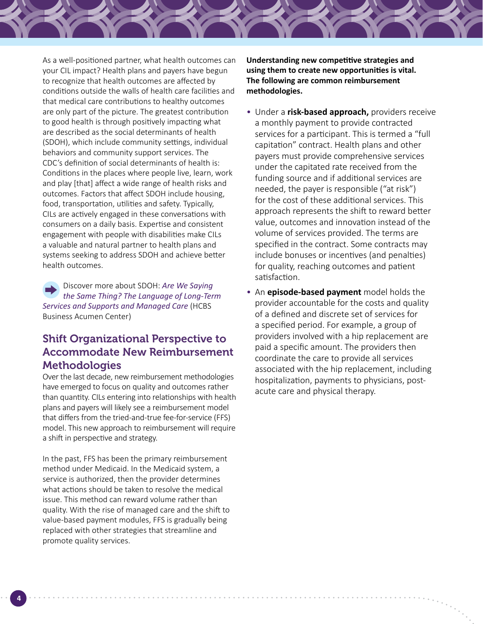As a well-positioned partner, what health outcomes can your CIL impact? Health plans and payers have begun to recognize that health outcomes are affected by conditions outside the walls of health care facilities and that medical care contributions to healthy outcomes are only part of the picture. The greatest contribution to good health is through positively impacting what are described as the social determinants of health (SDOH), which include community settings, individual behaviors and community support services. The CDC's definition of social determinants of health is: Conditions in the places where people live, learn, work and play [that] affect a wide range of health risks and outcomes. Factors that affect SDOH include housing, food, transportation, utilities and safety. Typically, CILs are actively engaged in these conversations with consumers on a daily basis. Expertise and consistent engagement with people with disabilities make CILs a valuable and natural partner to health plans and systems seeking to address SDOH and achieve better health outcomes.

Discover more about SDOH: *[Are We Saying](http://nasuad.org/sites/nasuad/files/LTSS_MC_Business-Terminology_AAHD_6.28.17_Final.pdf)  [the Same Thing? The Language of Long-Term](http://nasuad.org/sites/nasuad/files/LTSS_MC_Business-Terminology_AAHD_6.28.17_Final.pdf)  [Services and Supports and Managed Care](http://nasuad.org/sites/nasuad/files/LTSS_MC_Business-Terminology_AAHD_6.28.17_Final.pdf)* (HCBS Business Acumen Center)

# Shift Organizational Perspective to Accommodate New Reimbursement **Methodologies**

Over the last decade, new reimbursement methodologies have emerged to focus on quality and outcomes rather than quantity. CILs entering into relationships with health plans and payers will likely see a reimbursement model that differs from the tried-and-true fee-for-service (FFS) model. This new approach to reimbursement will require a shift in perspective and strategy.

In the past, FFS has been the primary reimbursement method under Medicaid. In the Medicaid system, a service is authorized, then the provider determines what actions should be taken to resolve the medical issue. This method can reward volume rather than quality. With the rise of managed care and the shift to value-based payment modules, FFS is gradually being replaced with other strategies that streamline and promote quality services.

**Understanding new competitive strategies and using them to create new opportunities is vital. The following are common reimbursement methodologies.** 

- Under a **risk-based approach,** providers receive a monthly payment to provide contracted services for a participant. This is termed a "full capitation" contract. Health plans and other payers must provide comprehensive services under the capitated rate received from the funding source and if additional services are needed, the payer is responsible ("at risk") for the cost of these additional services. This approach represents the shift to reward better value, outcomes and innovation instead of the volume of services provided. The terms are specified in the contract. Some contracts may include bonuses or incentives (and penalties) for quality, reaching outcomes and patient satisfaction.
- An **episode-based payment** model holds the provider accountable for the costs and quality of a defined and discrete set of services for a specified period. For example, a group of providers involved with a hip replacement are paid a specific amount. The providers then coordinate the care to provide all services associated with the hip replacement, including hospitalization, payments to physicians, postacute care and physical therapy.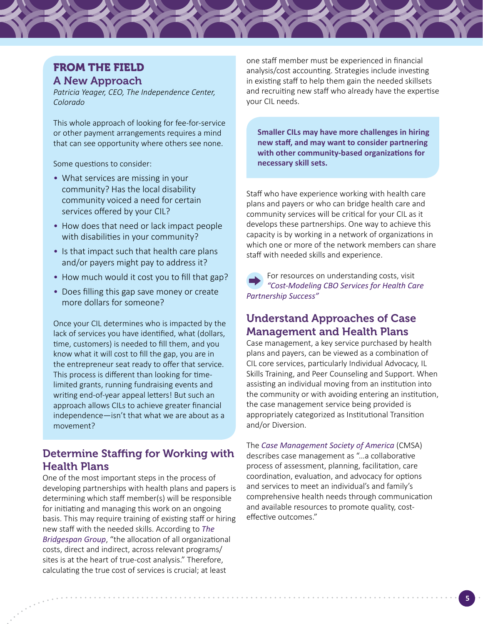# FROM THE FIELD A New Approach

*Patricia Yeager, CEO, The Independence Center, Colorado*

This whole approach of looking for fee-for-service or other payment arrangements requires a mind that can see opportunity where others see none.

Some questions to consider:

- What services are missing in your community? Has the local disability community voiced a need for certain services offered by your CIL?
- How does that need or lack impact people with disabilities in your community?
- Is that impact such that health care plans and/or payers might pay to address it?
- How much would it cost you to fill that gap?
- Does filling this gap save money or create more dollars for someone?

Once your CIL determines who is impacted by the lack of services you have identified, what (dollars, time, customers) is needed to fill them, and you know what it will cost to fill the gap, you are in the entrepreneur seat ready to offer that service. This process is different than looking for timelimited grants, running fundraising events and writing end-of-year appeal letters! But such an approach allows CILs to achieve greater financial independence—isn't that what we are about as a movement?

## Determine Staffing for Working with Health Plans

One of the most important steps in the process of developing partnerships with health plans and papers is determining which staff member(s) will be responsible for initiating and managing this work on an ongoing basis. This may require training of existing staff or hiring new staff with the needed skills. According to *[The](https://www.bridgespan.org/insights/library/pay-what-it-takes/nonprofit-cost-analysis-introduction)  [Bridgespan Group](https://www.bridgespan.org/insights/library/pay-what-it-takes/nonprofit-cost-analysis-introduction)*, "the allocation of all organizational costs, direct and indirect, across relevant programs/ sites is at the heart of true-cost analysis." Therefore, calculating the true cost of services is crucial; at least

one staff member must be experienced in financial analysis/cost accounting. Strategies include investing in existing staff to help them gain the needed skillsets and recruiting new staff who already have the expertise your CIL needs.

**Smaller CILs may have more challenges in hiring new staff, and may want to consider partnering with other community-based organizations for necessary skill sets.** 

Staff who have experience working with health care plans and payers or who can bridge health care and community services will be critical for your CIL as it develops these partnerships. One way to achieve this capacity is by working in a network of organizations in which one or more of the network members can share staff with needed skills and experience.

For resources on understanding costs, visit *["Cost-Modeling CBO Services for Health Care](https://www.aginganddisabilitybusinessinstitute.org/resources/cost-modeling-cbo-services-for-health-care-partnership-success/)  [Partnership Success"](https://www.aginganddisabilitybusinessinstitute.org/resources/cost-modeling-cbo-services-for-health-care-partnership-success/)*

# Understand Approaches of Case Management and Health Plans

Case management, a key service purchased by health plans and payers, can be viewed as a combination of CIL core services, particularly Individual Advocacy, IL Skills Training, and Peer Counseling and Support. When assisting an individual moving from an institution into the community or with avoiding entering an institution, the case management service being provided is appropriately categorized as Institutional Transition and/or Diversion.

The *[Case Management Society of America](http://www.cmsa.org)* (CMSA) describes case management as "…a collaborative process of assessment, planning, facilitation, care coordination, evaluation, and advocacy for options and services to meet an individual's and family's comprehensive health needs through communication and available resources to promote quality, costeffective outcomes."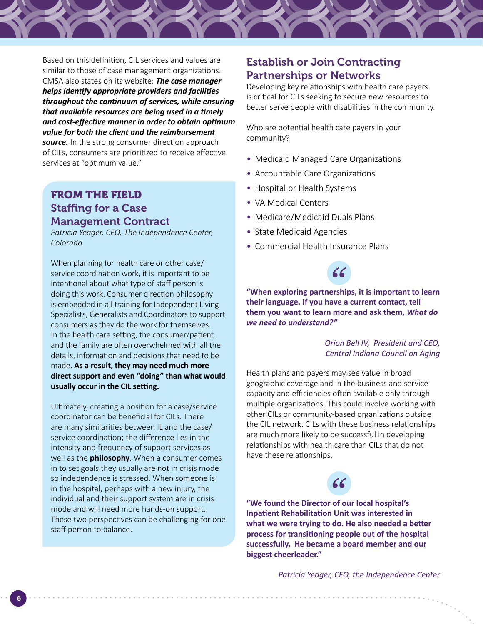Based on this definition, CIL services and values are similar to those of case management organizations. CMSA also states on its website: *The case manager helps identify appropriate providers and facilities throughout the continuum of services, while ensuring that available resources are being used in a timely and cost-effective manner in order to obtain optimum value for both the client and the reimbursement*  **source.** In the strong consumer direction approach of CILs, consumers are prioritized to receive effective services at "optimum value."

# FROM THE FIELD Staffing for a Case Management Contract

*Patricia Yeager, CEO, The Independence Center, Colorado*

When planning for health care or other case/ service coordination work, it is important to be intentional about what type of staff person is doing this work. Consumer direction philosophy is embedded in all training for Independent Living Specialists, Generalists and Coordinators to support consumers as they do the work for themselves. In the health care setting, the consumer/patient and the family are often overwhelmed with all the details, information and decisions that need to be made. **As a result, they may need much more direct support and even "doing" than what would usually occur in the CIL setting.**

Ultimately, creating a position for a case/service coordinator can be beneficial for CILs. There are many similarities between IL and the case/ service coordination; the difference lies in the intensity and frequency of support services as well as the **philosophy**. When a consumer comes in to set goals they usually are not in crisis mode so independence is stressed. When someone is in the hospital, perhaps with a new injury, the individual and their support system are in crisis mode and will need more hands-on support. These two perspectives can be challenging for one staff person to balance.

## Establish or Join Contracting Partnerships or Networks

Developing key relationships with health care payers is critical for CILs seeking to secure new resources to better serve people with disabilities in the community.

Who are potential health care payers in your community?

- Medicaid Managed Care Organizations
- Accountable Care Organizations
- Hospital or Health Systems
- VA Medical Centers
- Medicare/Medicaid Duals Plans
- State Medicaid Agencies
- Commercial Health Insurance Plans



**"When exploring partnerships, it is important to learn their language. If you have a current contact, tell them you want to learn more and ask them,** *What do we need to understand?"* 

### *Orion Bell IV, President and CEO, Central Indiana Council on Aging*

Health plans and payers may see value in broad geographic coverage and in the business and service capacity and efficiencies often available only through multiple organizations. This could involve working with other CILs or community-based organizations outside the CIL network. CILs with these business relationships are much more likely to be successful in developing relationships with health care than CILs that do not have these relationships.



**"We found the Director of our local hospital's Inpatient Rehabilitation Unit was interested in what we were trying to do. He also needed a better process for transitioning people out of the hospital successfully. He became a board member and our biggest cheerleader."**

*Patricia Yeager, CEO, the Independence Center*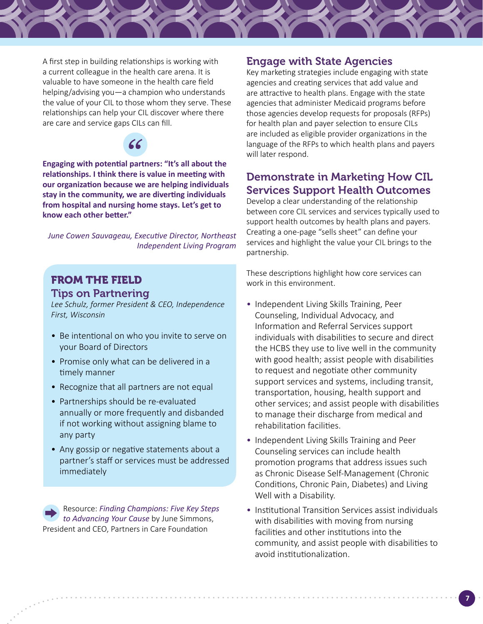

A first step in building relationships is working with a current colleague in the health care arena. It is valuable to have someone in the health care field helping/advising you—a champion who understands the value of your CIL to those whom they serve. These relationships can help your CIL discover where there are care and service gaps CILs can fill.



**Engaging with potential partners: "It's all about the relationships. I think there is value in meeting with our organization because we are helping individuals stay in the community, we are diverting individuals from hospital and nursing home stays. Let's get to know each other better."**

*June Cowen Sauvageau, Executive Director, Northeast Independent Living Program*

# FROM THE FIELD Tips on Partnering

*Lee Schulz, former President & CEO, Independence First, Wisconsin*

- Be intentional on who you invite to serve on your Board of Directors
- Promise only what can be delivered in a timely manner
- Recognize that all partners are not equal
- Partnerships should be re-evaluated annually or more frequently and disbanded if not working without assigning blame to any party
- Any gossip or negative statements about a partner's staff or services must be addressed immediately

Resource: *[Finding Champions: Five Key Steps](https://www.aginganddisabilitybusinessinstitute.org/finding-champions-five-key-steps-to-advance-your-cause/)  [to Advancing Your Cause](https://www.aginganddisabilitybusinessinstitute.org/finding-champions-five-key-steps-to-advance-your-cause/)* by June Simmons, President and CEO, Partners in Care Foundation

## Engage with State Agencies

Key marketing strategies include engaging with state agencies and creating services that add value and are attractive to health plans. Engage with the state agencies that administer Medicaid programs before those agencies develop requests for proposals (RFPs) for health plan and payer selection to ensure CILs are included as eligible provider organizations in the language of the RFPs to which health plans and payers will later respond.

## Demonstrate in Marketing How CIL Services Support Health Outcomes

Develop a clear understanding of the relationship between core CIL services and services typically used to support health outcomes by health plans and payers. Creating a one-page "sells sheet" can define your services and highlight the value your CIL brings to the partnership.

These descriptions highlight how core services can work in this environment.

- Independent Living Skills Training, Peer Counseling, Individual Advocacy, and Information and Referral Services support individuals with disabilities to secure and direct the HCBS they use to live well in the community with good health; assist people with disabilities to request and negotiate other community support services and systems, including transit, transportation, housing, health support and other services; and assist people with disabilities to manage their discharge from medical and rehabilitation facilities.
- Independent Living Skills Training and Peer Counseling services can include health promotion programs that address issues such as Chronic Disease Self-Management (Chronic Conditions, Chronic Pain, Diabetes) and Living Well with a Disability.
- Institutional Transition Services assist individuals with disabilities with moving from nursing facilities and other institutions into the community, and assist people with disabilities to avoid institutionalization.

**7**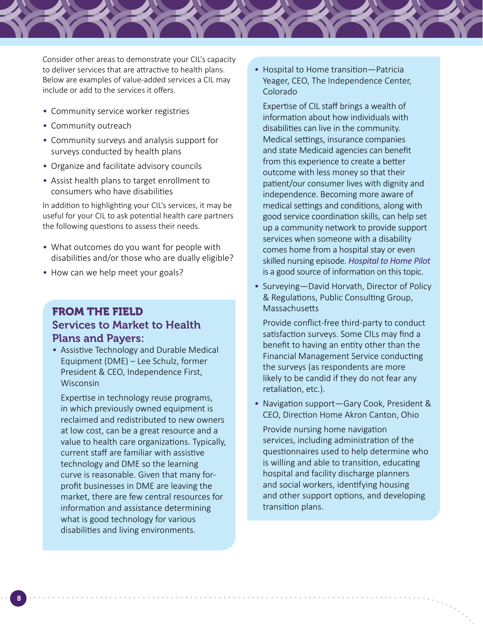Consider other areas to demonstrate your CIL's capacity to deliver services that are attractive to health plans. Below are examples of value-added services a CIL may include or add to the services it offers.

- Community service worker registries
- Community outreach
- Community surveys and analysis support for surveys conducted by health plans
- Organize and facilitate advisory councils
- Assist health plans to target enrollment to consumers who have disabilities

In addition to highlighting your CIL's services, it may be useful for your CIL to ask potential health care partners the following questions to assess their needs.

- What outcomes do you want for people with disabilities and/or those who are dually eligible?
- How can we help meet your goals?

# FROM THE FIELD Services to Market to Health Plans and Payers:

• Assistive Technology and Durable Medical Equipment (DME) – Lee Schulz, former President & CEO, Independence First, Wisconsin

Expertise in technology reuse programs, in which previously owned equipment is reclaimed and redistributed to new owners at low cost, can be a great resource and a value to health care organizations. Typically, current staff are familiar with assistive technology and DME so the learning curve is reasonable. Given that many forprofit businesses in DME are leaving the market, there are few central resources for information and assistance determining what is good technology for various disabilities and living environments.

• Hospital to Home transition—Patricia Yeager, CEO, The Independence Center, Colorado

Expertise of CIL staff brings a wealth of information about how individuals with disabilities can live in the community. Medical settings, insurance companies and state Medicaid agencies can benefit from this experience to create a better outcome with less money so that their patient/our consumer lives with dignity and independence. Becoming more aware of medical settings and conditions, along with good service coordination skills, can help set up a community network to provide support services when someone with a disability comes home from a hospital stay or even skilled nursing episode. *[Hospital to Home Pilot](https://online.flippingbook.com/view/202328/76/)* is a good source of information on this topic.

• Surveying—David Horvath, Director of Policy & Regulations, Public Consulting Group, **Massachusetts** 

Provide conflict-free third-party to conduct satisfaction surveys. Some CILs may find a benefit to having an entity other than the Financial Management Service conducting the surveys (as respondents are more likely to be candid if they do not fear any retaliation, etc.).

• Navigation support—Gary Cook, President & CEO, Direction Home Akron Canton, Ohio

Provide nursing home navigation services, including administration of the questionnaires used to help determine who is willing and able to transition, educating hospital and facility discharge planners and social workers, identifying housing and other support options, and developing transition plans.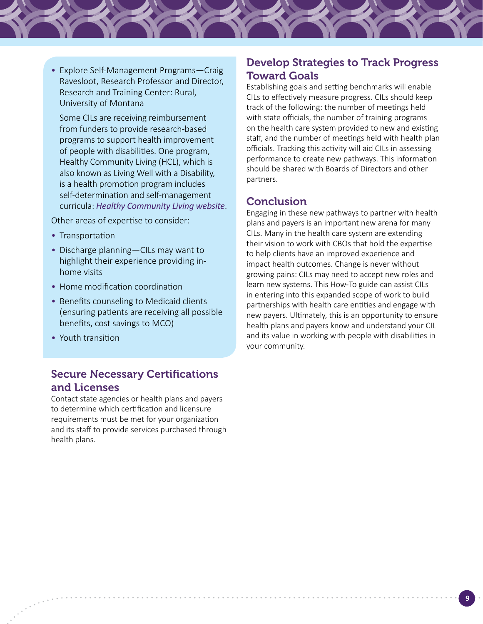• Explore Self-Management Programs—Craig Ravesloot, Research Professor and Director, Research and Training Center: Rural, University of Montana

Some CILs are receiving reimbursement from funders to provide research-based programs to support health improvement of people with disabilities. One program, Healthy Community Living (HCL), which is also known as Living Well with a Disability, is a health promotion program includes self-determination and self-management curricula: *[Healthy Community Living website](http://healthycommunityliving.com/index.html)*.

Other areas of expertise to consider:

- Transportation
- Discharge planning—CILs may want to highlight their experience providing inhome visits
- Home modification coordination
- Benefits counseling to Medicaid clients (ensuring patients are receiving all possible benefits, cost savings to MCO)
- Youth transition

# Secure Necessary Certifications and Licenses

Contact state agencies or health plans and payers to determine which certification and licensure requirements must be met for your organization and its staff to provide services purchased through health plans.

## Develop Strategies to Track Progress Toward Goals

Establishing goals and setting benchmarks will enable CILs to effectively measure progress. CILs should keep track of the following: the number of meetings held with state officials, the number of training programs on the health care system provided to new and existing staff, and the number of meetings held with health plan officials. Tracking this activity will aid CILs in assessing performance to create new pathways. This information should be shared with Boards of Directors and other partners.

## **Conclusion**

Engaging in these new pathways to partner with health plans and payers is an important new arena for many CILs. Many in the health care system are extending their vision to work with CBOs that hold the expertise to help clients have an improved experience and impact health outcomes. Change is never without growing pains: CILs may need to accept new roles and learn new systems. This How-To guide can assist CILs in entering into this expanded scope of work to build partnerships with health care entities and engage with new payers. Ultimately, this is an opportunity to ensure health plans and payers know and understand your CIL and its value in working with people with disabilities in your community.

**9**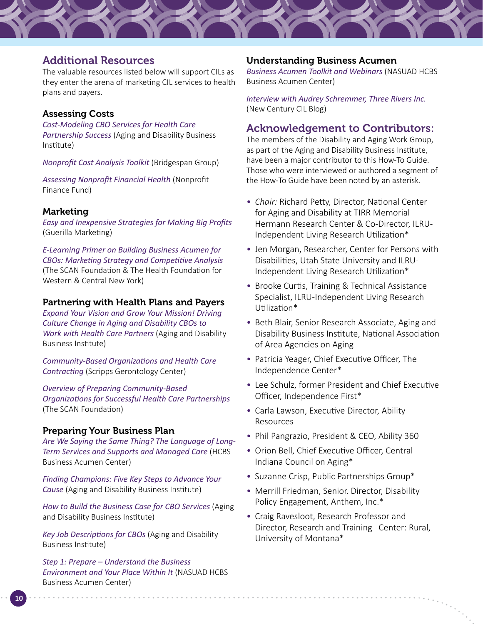## Additional Resources

The valuable resources listed below will support CILs as they enter the arena of marketing CIL services to health plans and payers.

#### Assessing Costs

*[Cost-Modeling CBO Services for Health Care](https://www.aginganddisabilitybusinessinstitute.org/resources/cost-modeling-cbo-services-for-health-care-partnership-success/)  [Partnership Success](https://www.aginganddisabilitybusinessinstitute.org/resources/cost-modeling-cbo-services-for-health-care-partnership-success/)* (Aging and Disability Business Institute)

*[Nonprofit Cost Analysis Toolkit](https://www.bridgespan.org/insights/library/pay-what-it-takes/nonprofit-cost-analysis-introduction)* (Bridgespan Group)

*[Assessing Nonprofit Financial Health](https://philanthropynewyork.org/sites/default/files/resources/Presentation Slides Assessing Nonprofit Financial Health.PDF)* (Nonprofit Finance Fund)

#### Marketing

*[Easy and Inexpensive Strategies for Making Big Profits](http://gmarketing.com/)* (Guerilla Marketing)

*[E-Learning Primer on Building Business Acumen for](https://zipmart.com/Brand/4/Source/1/Home/Course/54/Description)  [CBOs: Marketing Strategy and Competitive Analysis](https://zipmart.com/Brand/4/Source/1/Home/Course/54/Description)* (The SCAN Foundation & The Health Foundation for Western & Central New York)

#### Partnering with Health Plans and Payers

*[Expand Your Vision and Grow Your Mission! Driving](https://vimeo.com/201326182)  [Culture Change in Aging and Disability CBOs to](https://vimeo.com/201326182)  [Work with Health Care Partners](https://vimeo.com/201326182)* (Aging and Disability Business Institute)

*[Community-Based Organizations and Health Care](https://sc.lib.miamioh.edu/bitstream/handle/2374.MIA/6182/Kunkel-Community-Based Organizations_12-2017.pdf)  [Contracting](https://sc.lib.miamioh.edu/bitstream/handle/2374.MIA/6182/Kunkel-Community-Based Organizations_12-2017.pdf)* (Scripps Gerontology Center)

*[Overview of Preparing Community-Based](https://www.thescanfoundation.org/sites/default/files/tabbush-cbo_healthcare_prtnrshps-8-22-12.pdf)  [Organizations for Successful Health Care Partnerships](https://www.thescanfoundation.org/sites/default/files/tabbush-cbo_healthcare_prtnrshps-8-22-12.pdf)* (The SCAN Foundation)

#### Preparing Your Business Plan

*[Are We Saying the Same Thing? The Language of Long-](http://nasuad.org/sites/nasuad/files/LTSS_MC_Business-Terminology_AAHD_6.28.17_Final.pdf)[Term Services and Supports and Managed Care](http://nasuad.org/sites/nasuad/files/LTSS_MC_Business-Terminology_AAHD_6.28.17_Final.pdf)* (HCBS Business Acumen Center)

*[Finding Champions: Five Key Steps to Advance Your](https://www.aginganddisabilitybusinessinstitute.org/finding-champions-five-key-steps-to-advance-your-cause/)  [Cause](https://www.aginganddisabilitybusinessinstitute.org/finding-champions-five-key-steps-to-advance-your-cause/)* (Aging and Disability Business Institute)

*[How to Build the Business Case for CBO Services](https://www.aginganddisabilitybusinessinstitute.org/wp-content/uploads/2018/06/ADBI-RG-How-to-Build-508-1.pdf)* (Aging and Disability Business Institute)

*[Key Job Descriptions for CBOs](https://www.aginganddisabilitybusinessinstitute.org/resources/key-job-descriptions-for-cbo/)* (Aging and Disability Business Institute)

*Step 1: Prepare – [Understand the Business](http://nasuad.org/sites/nasuad/files/BACStep1Prepare.pdf)  [Environment and Your Place Within It](http://nasuad.org/sites/nasuad/files/BACStep1Prepare.pdf)* (NASUAD HCBS Business Acumen Center)

**10**

#### Understanding Business Acumen

*[Business Acumen Toolkit](http://www.hcbsbusinessacumen.org/webinar-archive.html) and Webinars* (NASUAD HCBS Business Acumen Center)

*[Interview with Audrey Schremmer, Three Rivers Inc.](http://www.newcenturycil.org/?p=1298)*  (New Century CIL Blog)

#### Acknowledgement to Contributors:

The members of the Disability and Aging Work Group, as part of the Aging and Disability Business Institute, have been a major contributor to this How-To Guide. Those who were interviewed or authored a segment of the How-To Guide have been noted by an asterisk.

- *Chair:* Richard Petty, Director, National Center for Aging and Disability at TIRR Memorial Hermann Research Center & Co-Director, ILRU-Independent Living Research Utilization\*
- Jen Morgan, Researcher, Center for Persons with Disabilities, Utah State University and ILRU-Independent Living Research Utilization\*
- Brooke Curtis, Training & Technical Assistance Specialist, ILRU-Independent Living Research Utilization\*
- Beth Blair, Senior Research Associate, Aging and Disability Business Institute, National Association of Area Agencies on Aging
- Patricia Yeager, Chief Executive Officer, The Independence Center\*
- Lee Schulz, former President and Chief Executive Officer, Independence First\*
- Carla Lawson, Executive Director, Ability Resources
- Phil Pangrazio, President & CEO, Ability 360
- Orion Bell, Chief Executive Officer, Central Indiana Council on Aging\*
- Suzanne Crisp, Public Partnerships Group\*
- Merrill Friedman, Senior. Director, Disability Policy Engagement, Anthem, Inc.\*
- Craig Ravesloot, Research Professor and Director, Research and Training Center: Rural, University of Montana\*